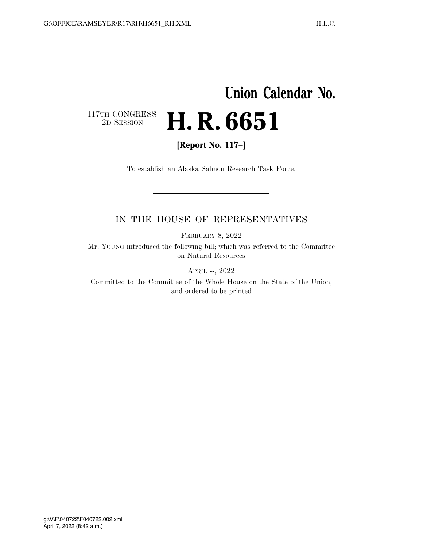## **Union Calendar No.**   $\begin{array}{c} \textbf{117TH CONGRESS} \\ \textbf{2D} \textbf{SESSION} \end{array}$ 2D SESSION **H. R. 6651**

**[Report No. 117–]** 

To establish an Alaska Salmon Research Task Force.

## IN THE HOUSE OF REPRESENTATIVES

FEBRUARY 8, 2022

Mr. YOUNG introduced the following bill; which was referred to the Committee on Natural Resources

APRIL --, 2022

Committed to the Committee of the Whole House on the State of the Union, and ordered to be printed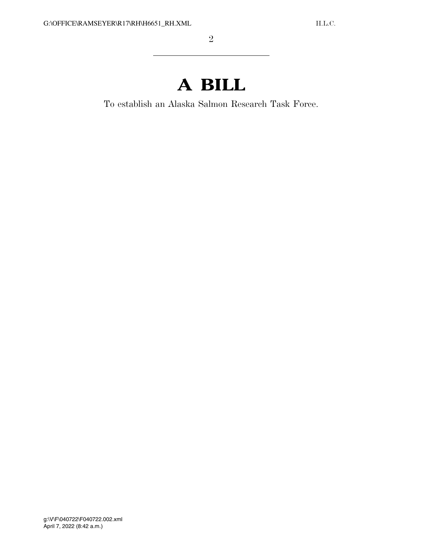## **A BILL**

To establish an Alaska Salmon Research Task Force.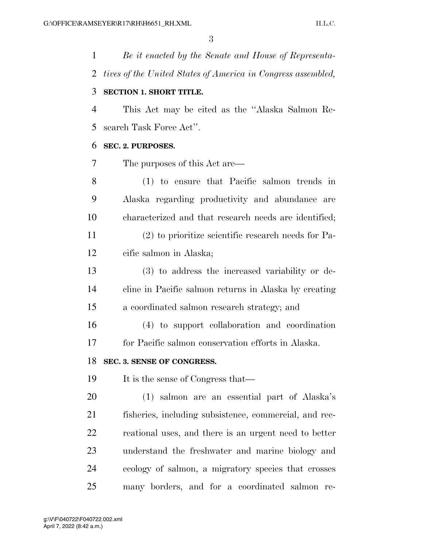*Be it enacted by the Senate and House of Representa- tives of the United States of America in Congress assembled,*  **SECTION 1. SHORT TITLE.**  This Act may be cited as the ''Alaska Salmon Re- search Task Force Act''. **SEC. 2. PURPOSES.**  The purposes of this Act are— (1) to ensure that Pacific salmon trends in Alaska regarding productivity and abundance are characterized and that research needs are identified; (2) to prioritize scientific research needs for Pa- cific salmon in Alaska; (3) to address the increased variability or de- cline in Pacific salmon returns in Alaska by creating a coordinated salmon research strategy; and (4) to support collaboration and coordination for Pacific salmon conservation efforts in Alaska. **SEC. 3. SENSE OF CONGRESS.**  19 It is the sense of Congress that— (1) salmon are an essential part of Alaska's fisheries, including subsistence, commercial, and rec- reational uses, and there is an urgent need to better understand the freshwater and marine biology and ecology of salmon, a migratory species that crosses

many borders, and for a coordinated salmon re-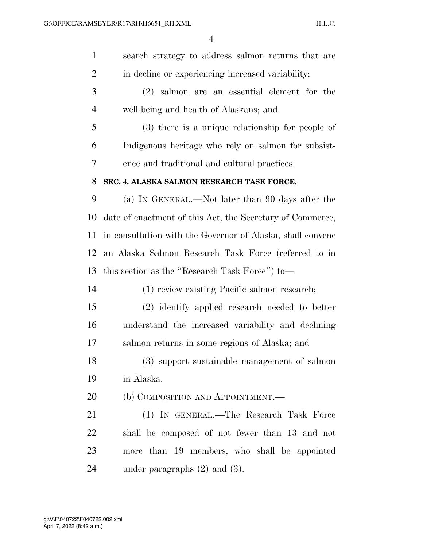| $\mathbf{1}$   | search strategy to address salmon returns that are         |
|----------------|------------------------------------------------------------|
| $\overline{2}$ | in decline or experiencing increased variability;          |
| 3              | $(2)$ salmon are an essential element for the              |
| $\overline{4}$ | well-being and health of Alaskans; and                     |
| 5              | (3) there is a unique relationship for people of           |
| 6              | Indigenous heritage who rely on salmon for subsist-        |
| 7              | ence and traditional and cultural practices.               |
| 8              | SEC. 4. ALASKA SALMON RESEARCH TASK FORCE.                 |
| 9              | (a) IN GENERAL.—Not later than 90 days after the           |
| 10             | date of enactment of this Act, the Secretary of Commerce,  |
| 11             | in consultation with the Governor of Alaska, shall convene |
| 12             | an Alaska Salmon Research Task Force (referred to in       |
| 13             | this section as the "Research Task Force" to-              |
| 14             | (1) review existing Pacific salmon research;               |
| 15             | (2) identify applied research needed to better             |
| 16             | understand the increased variability and declining         |
| 17             | salmon returns in some regions of Alaska; and              |
| 18             | (3) support sustainable management of salmon               |
| 19             | in Alaska.                                                 |
| 20             | (b) COMPOSITION AND APPOINTMENT.—                          |
| 21             | (1) IN GENERAL.—The Research Task Force                    |
| 22             | shall be composed of not fewer than 13 and not             |
| 23             | more than 19 members, who shall be appointed               |
| 24             | under paragraphs $(2)$ and $(3)$ .                         |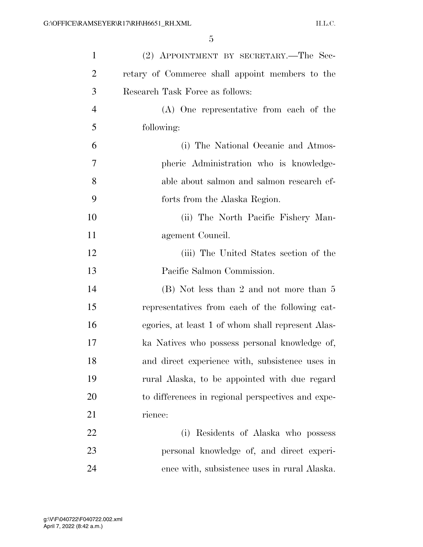| $\mathbf{1}$   | (2) APPOINTMENT BY SECRETARY.—The Sec-            |
|----------------|---------------------------------------------------|
| $\overline{2}$ | retary of Commerce shall appoint members to the   |
| 3              | Research Task Force as follows:                   |
| $\overline{4}$ | (A) One representative from each of the           |
| 5              | following:                                        |
| 6              | (i) The National Oceanic and Atmos-               |
| 7              | pheric Administration who is knowledge-           |
| 8              | able about salmon and salmon research ef-         |
| 9              | forts from the Alaska Region.                     |
| 10             | (ii) The North Pacific Fishery Man-               |
| 11             | agement Council.                                  |
| 12             | (iii) The United States section of the            |
| 13             | Pacific Salmon Commission.                        |
| 14             | (B) Not less than 2 and not more than 5           |
| 15             | representatives from each of the following cat-   |
| 16             | egories, at least 1 of whom shall represent Alas- |
| 17             | ka Natives who possess personal knowledge of,     |
| 18             | and direct experience with, subsistence uses in   |
| 19             | rural Alaska, to be appointed with due regard     |
| 20             | to differences in regional perspectives and expe- |
| 21             | rience:                                           |
| 22             | (i) Residents of Alaska who possess               |
| 23             | personal knowledge of, and direct experi-         |
| 24             | ence with, subsistence uses in rural Alaska.      |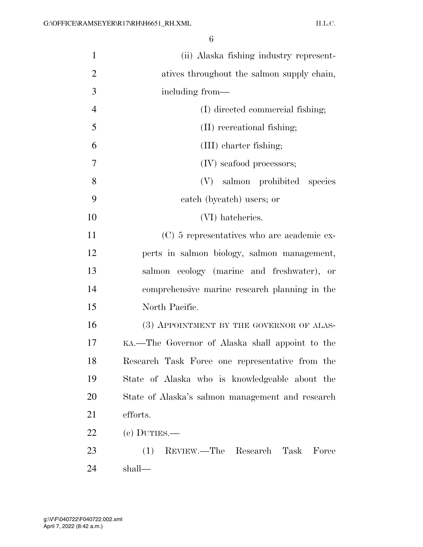| $\mathbf{1}$   | (ii) Alaska fishing industry represent-          |
|----------------|--------------------------------------------------|
| $\overline{2}$ | atives throughout the salmon supply chain,       |
| 3              | including from—                                  |
| $\overline{4}$ | (I) directed commercial fishing;                 |
| 5              | (II) recreational fishing;                       |
| 6              | (III) charter fishing;                           |
| 7              | (IV) seafood processors;                         |
| 8              | (V) salmon prohibited species                    |
| 9              | catch (bycatch) users; or                        |
| 10             | (VI) hatcheries.                                 |
| 11             | (C) 5 representatives who are academic ex-       |
| 12             | perts in salmon biology, salmon management,      |
| 13             | salmon ecology (marine and freshwater), or       |
| 14             | comprehensive marine research planning in the    |
| 15             | North Pacific.                                   |
| 16             | (3) APPOINTMENT BY THE GOVERNOR OF ALAS-         |
| 17             | KA.—The Governor of Alaska shall appoint to the  |
| 18             | Research Task Force one representative from the  |
| 19             | State of Alaska who is knowledgeable about the   |
| 20             | State of Alaska's salmon management and research |
| 21             | efforts.                                         |
| 22             | $(e)$ DUTIES.—                                   |
| 23             | REVIEW.—The Research<br>Task<br>Force<br>(1)     |
| 24             | shall—                                           |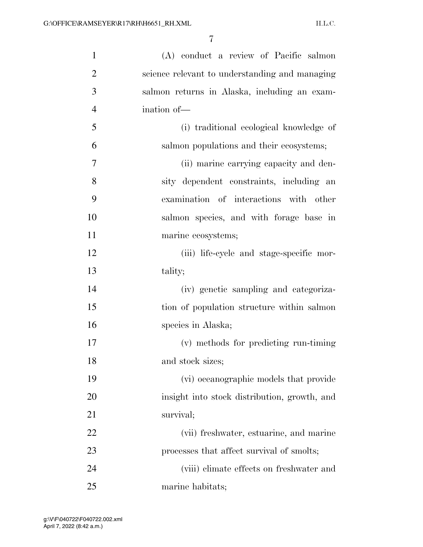| $\mathbf{1}$   | (A) conduct a review of Pacific salmon         |
|----------------|------------------------------------------------|
| $\overline{2}$ | science relevant to understanding and managing |
| 3              | salmon returns in Alaska, including an exam-   |
| $\overline{4}$ | ination of-                                    |
| 5              | (i) traditional ecological knowledge of        |
| 6              | salmon populations and their ecosystems;       |
| $\overline{7}$ | (ii) marine carrying capacity and den-         |
| 8              | sity dependent constraints, including an       |
| 9              | examination of interactions with other         |
| 10             | salmon species, and with forage base in        |
| 11             | marine ecosystems;                             |
| 12             | (iii) life-cycle and stage-specific mor-       |
| 13             | tality;                                        |
| 14             | (iv) genetic sampling and categoriza-          |
| 15             | tion of population structure within salmon     |
| 16             | species in Alaska;                             |
| 17             | (v) methods for predicting run-timing          |
| 18             | and stock sizes;                               |
| 19             | (vi) oceanographic models that provide         |
| 20             | insight into stock distribution, growth, and   |
| 21             | survival;                                      |
| 22             | (vii) freshwater, estuarine, and marine        |
| 23             | processes that affect survival of smolts;      |
| 24             | (viii) elimate effects on freshwater and       |
| 25             | marine habitats;                               |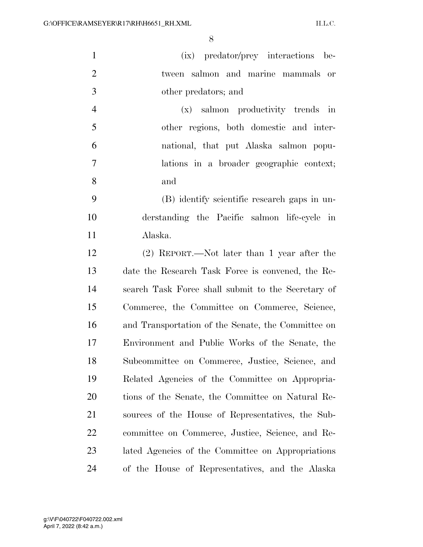| $\mathbf{1}$   | (ix) predator/prey interactions be-                |
|----------------|----------------------------------------------------|
| $\overline{2}$ | tween salmon and marine mammals or                 |
| 3              | other predators; and                               |
| $\overline{4}$ | (x) salmon productivity trends in                  |
| 5              | other regions, both domestic and inter-            |
| 6              | national, that put Alaska salmon popu-             |
| $\overline{7}$ | lations in a broader geographic context;           |
| 8              | and                                                |
| 9              | (B) identify scientific research gaps in un-       |
| 10             | derstanding the Pacific salmon life-cycle in       |
| 11             | Alaska.                                            |
| 12             | $(2)$ REPORT.—Not later than 1 year after the      |
| 13             | date the Research Task Force is convened, the Re-  |
| 14             | search Task Force shall submit to the Secretary of |
| 15             | Commerce, the Committee on Commerce, Science,      |
| 16             | and Transportation of the Senate, the Committee on |
| 17             | Environment and Public Works of the Senate, the    |
| 18             | Subcommittee on Commerce, Justice, Science, and    |
| 19             | Related Agencies of the Committee on Appropria-    |
| 20             | tions of the Senate, the Committee on Natural Re-  |
| 21             | sources of the House of Representatives, the Sub-  |
| 22             | committee on Commerce, Justice, Science, and Re-   |
| 23             | lated Agencies of the Committee on Appropriations  |
| 24             | of the House of Representatives, and the Alaska    |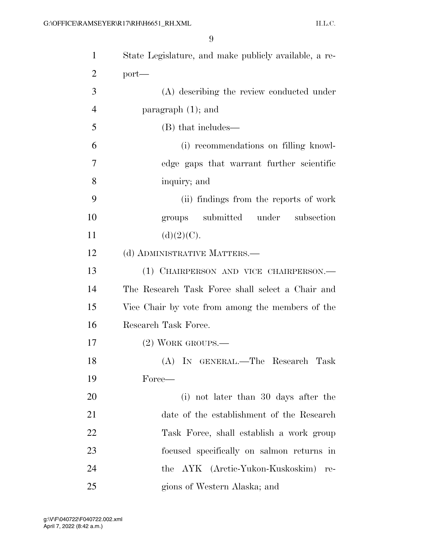| $\mathbf{1}$   | State Legislature, and make publicly available, a re- |
|----------------|-------------------------------------------------------|
| $\overline{2}$ | $port-$                                               |
| 3              | (A) describing the review conducted under             |
| $\overline{4}$ | paragraph $(1)$ ; and                                 |
| 5              | (B) that includes—                                    |
| 6              | (i) recommendations on filling knowl-                 |
| 7              | edge gaps that warrant further scientific             |
| 8              | inquiry; and                                          |
| 9              | (ii) findings from the reports of work                |
| 10             | groups submitted under<br>subsection                  |
| 11             | (d)(2)(C).                                            |
| 12             | (d) ADMINISTRATIVE MATTERS.—                          |
| 13             | (1) CHAIRPERSON AND VICE CHAIRPERSON.—                |
| 14             | The Research Task Force shall select a Chair and      |
| 15             | Vice Chair by vote from among the members of the      |
| 16             | Research Task Force.                                  |
| 17             | $(2)$ WORK GROUPS.—                                   |
| 18             | (A) IN GENERAL.—The Research Task                     |
| 19             | Force—                                                |
| 20             | (i) not later than 30 days after the                  |
| 21             | date of the establishment of the Research             |
| 22             | Task Force, shall establish a work group              |
| 23             | focused specifically on salmon returns in             |
| 24             | the AYK (Arctic-Yukon-Kuskoskim)<br>re-               |
| 25             | gions of Western Alaska; and                          |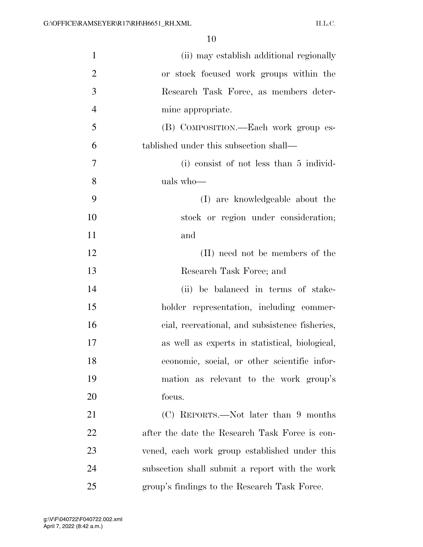| $\mathbf{1}$   | (ii) may establish additional regionally       |
|----------------|------------------------------------------------|
| $\overline{2}$ | or stock focused work groups within the        |
| 3              | Research Task Force, as members deter-         |
| $\overline{4}$ | mine appropriate.                              |
| 5              | (B) COMPOSITION.—Each work group es-           |
| 6              | tablished under this subsection shall—         |
| 7              | (i) consist of not less than 5 individ-        |
| 8              | uals who-                                      |
| 9              | (I) are knowledgeable about the                |
| 10             | stock or region under consideration;           |
| 11             | and                                            |
| 12             | (II) need not be members of the                |
| 13             | Research Task Force; and                       |
| 14             | (ii) be balanced in terms of stake-            |
| 15             | holder representation, including commer-       |
| 16             | cial, recreational, and subsistence fisheries, |
| 17             | as well as experts in statistical, biological, |
| 18             | economic, social, or other scientific infor-   |
| 19             | mation as relevant to the work group's         |
| 20             | focus.                                         |
| 21             | (C) REPORTS.—Not later than 9 months           |
| 22             | after the date the Research Task Force is con- |
| 23             | vened, each work group established under this  |
| 24             | subsection shall submit a report with the work |
| 25             | group's findings to the Research Task Force.   |